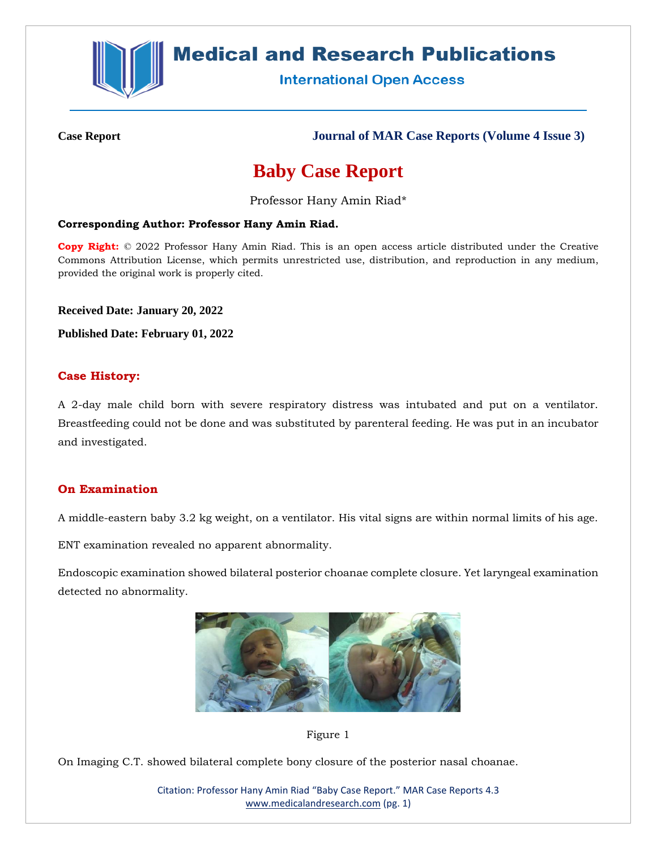

## **Medical and Research Publications**

**International Open Access** 

**Case Report Journal of MAR Case Reports (Volume 4 Issue 3)**

# **Baby Case Report**

Professor Hany Amin Riad\*

#### **Corresponding Author: Professor Hany Amin Riad.**

**Copy Right:** © 2022 Professor Hany Amin Riad. This is an open access article distributed under the Creative Commons Attribution License, which permits unrestricted use, distribution, and reproduction in any medium, provided the original work is properly cited.

**Received Date: January 20, 2022**

**Published Date: February 01, 2022**

#### **Case History:**

A 2-day male child born with severe respiratory distress was intubated and put on a ventilator. Breastfeeding could not be done and was substituted by parenteral feeding. He was put in an incubator and investigated.

## **On Examination**

A middle-eastern baby 3.2 kg weight, on a ventilator. His vital signs are within normal limits of his age.

ENT examination revealed no apparent abnormality.

Endoscopic examination showed bilateral posterior choanae complete closure. Yet laryngeal examination detected no abnormality.





On Imaging C.T. showed bilateral complete bony closure of the posterior nasal choanae.

Citation: Professor Hany Amin Riad "Baby Case Report." MAR Case Reports 4.3 [www.medicalandresearch.com](http://www.medicalandresearch.com/) (pg. 1)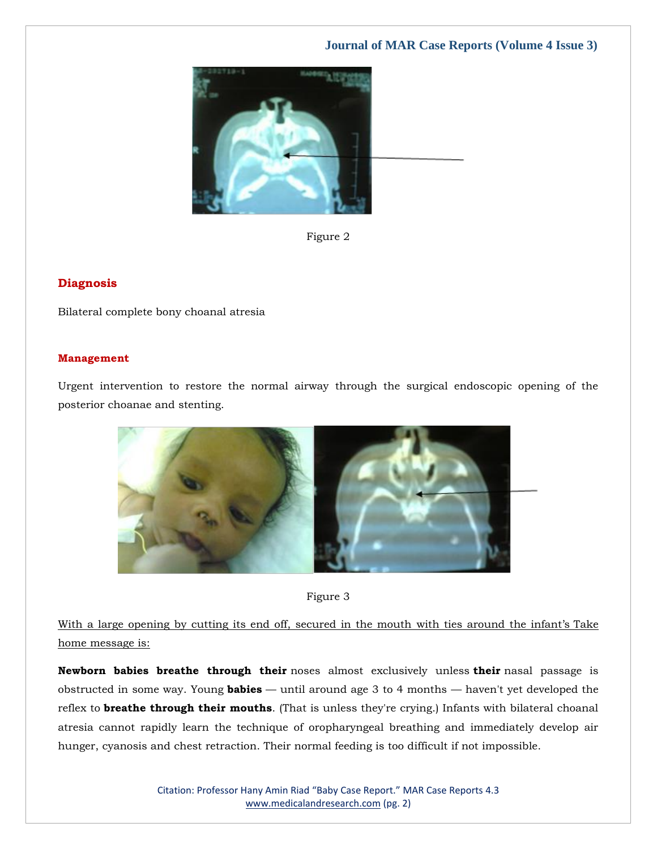## **Journal of MAR Case Reports (Volume 4 Issue 3)**



Figure 2

#### **Diagnosis**

Bilateral complete bony choanal atresia

#### **Management**

Urgent intervention to restore the normal airway through the surgical endoscopic opening of the posterior choanae and stenting.





With a large opening by cutting its end off, secured in the mouth with ties around the infant's Take home message is:

**Newborn babies breathe through their** noses almost exclusively unless **their** nasal passage is obstructed in some way. Young **babies** — until around age 3 to 4 months — haven't yet developed the reflex to **breathe through their mouths**. (That is unless they're crying.) Infants with bilateral choanal atresia cannot rapidly learn the technique of oropharyngeal breathing and immediately develop air hunger, cyanosis and chest retraction. Their normal feeding is too difficult if not impossible.

> Citation: Professor Hany Amin Riad "Baby Case Report." MAR Case Reports 4.3 [www.medicalandresearch.com](http://www.medicalandresearch.com/) (pg. 2)